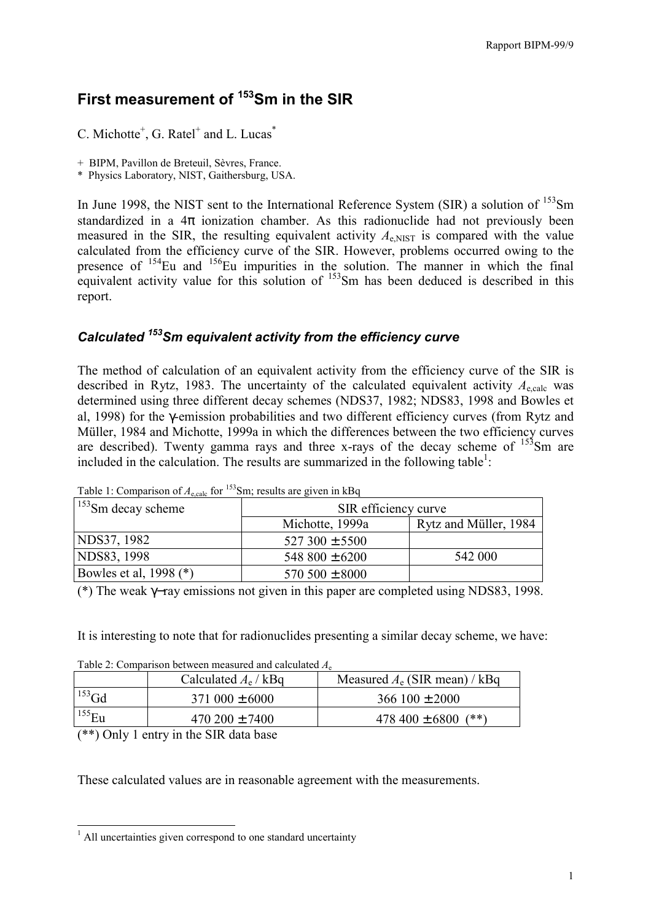# **First measurement of 153Sm in the SIR**

C. Michotte<sup>+</sup>, G. Ratel<sup>+</sup> and L. Lucas<sup>\*</sup>

+ BIPM, Pavillon de Breteuil, Sèvres, France.

\* Physics Laboratory, NIST, Gaithersburg, USA.

In June 1998, the NIST sent to the International Reference System (SIR) a solution of <sup>153</sup>Sm standardized in a  $4\pi$  ionization chamber. As this radionuclide had not previously been measured in the SIR, the resulting equivalent activity  $A<sub>e NIST</sub>$  is compared with the value calculated from the efficiency curve of the SIR. However, problems occurred owing to the presence of  $154$ Eu and  $156$ Eu impurities in the solution. The manner in which the final equivalent activity value for this solution of <sup>153</sup>Sm has been deduced is described in this report.

# *Calculated 153Sm equivalent activity from the efficiency curve*

The method of calculation of an equivalent activity from the efficiency curve of the SIR is described in Rytz, 1983. The uncertainty of the calculated equivalent activity  $A_{\text{scale}}$  was determined using three different decay schemes (NDS37, 1982; NDS83, 1998 and Bowles et al, 1998) for the γ-emission probabilities and two different efficiency curves (from Rytz and Müller, 1984 and Michotte, 1999a in which the differences between the two efficiency curves are described). Twenty gamma rays and three x-rays of the decay scheme of  $153$ Sm are included in the calculation. The results are summarized in the following table<sup>1</sup>:

| $1.8811$ $1.8011$ $1.811$ $1.811$ $1.811$<br>$1^{153}$ Sm decay scheme | $5.11$ , $1.00$ and $0.1$ and $0.1$ and $0.01$<br>SIR efficiency curve |                       |  |
|------------------------------------------------------------------------|------------------------------------------------------------------------|-----------------------|--|
|                                                                        | Michotte, 1999a                                                        | Rytz and Müller, 1984 |  |
| NDS37, 1982                                                            | $527300 \pm 5500$                                                      |                       |  |
| NDS83, 1998                                                            | 548 $800 \pm 6200$                                                     | 542 000               |  |
| Bowles et al, 1998 (*)                                                 | $570,500 \pm 8000$                                                     |                       |  |

Table 1: Comparison of  $A_{\text{scale}}$  for <sup>153</sup>Sm; results are given in kBq

(\*) The weak γ−ray emissions not given in this paper are completed using NDS83, 1998.

It is interesting to note that for radionuclides presenting a similar decay scheme, we have:

| Calculated $A_e$ / kBq<br>$153$ Gd<br>$371\,000 \pm 6000$<br>$366100 \pm 2000$ |             | Table 2. Comparison between measured and calculated $A_{\rm g}$ |                                 |
|--------------------------------------------------------------------------------|-------------|-----------------------------------------------------------------|---------------------------------|
|                                                                                |             |                                                                 | Measured $A_e$ (SIR mean) / kBq |
|                                                                                |             |                                                                 |                                 |
| $(**)$                                                                         | $^{155}$ Eu | $470\,200 \pm 7400$                                             | $478\,400 \pm 6800$             |

Table 2: Comparison between measured and calculated *A*<sup>e</sup>

(\*\*) Only 1 entry in the SIR data base

These calculated values are in reasonable agreement with the measurements.

<sup>&</sup>lt;sup>1</sup> All uncertainties given correspond to one standard uncertainty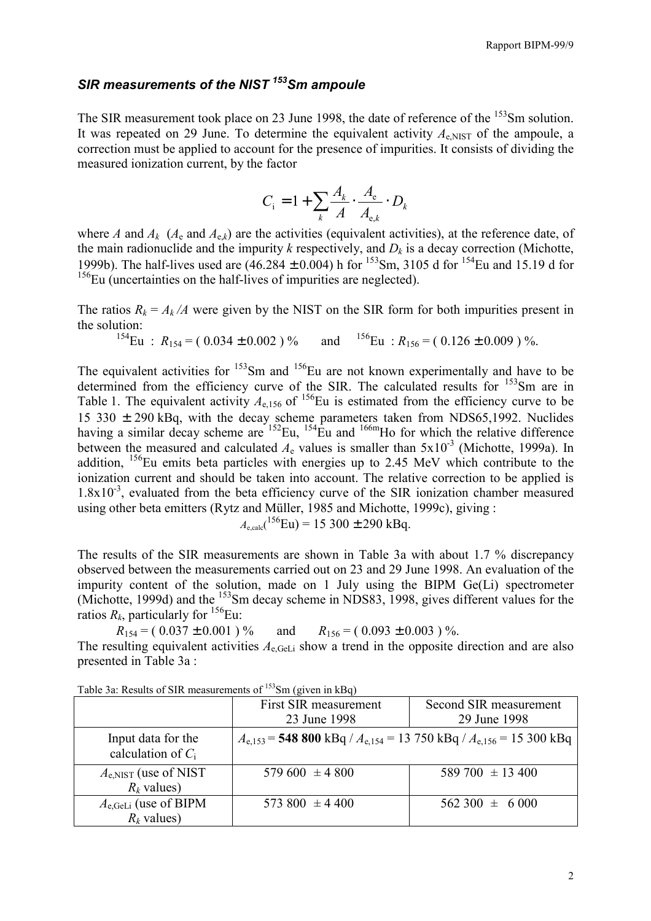# *SIR measurements of the NIST 153Sm ampoule*

The SIR measurement took place on 23 June 1998, the date of reference of the <sup>153</sup>Sm solution. It was repeated on 29 June. To determine the equivalent activity  $A<sub>e NIST</sub>$  of the ampoule, a correction must be applied to account for the presence of impurities. It consists of dividing the measured ionization current, by the factor

$$
C_{\rm i} = 1 + \sum_{k} \frac{A_k}{A} \cdot \frac{A_{\rm e}}{A_{\rm e,k}} \cdot D_k
$$

where *A* and  $A_k$  ( $A_e$  and  $A_{ek}$ ) are the activities (equivalent activities), at the reference date, of the main radionuclide and the impurity  $k$  respectively, and  $D_k$  is a decay correction (Michotte, 1999b). The half-lives used are  $(46.284 \pm 0.004)$  h for <sup>153</sup>Sm, 3105 d for <sup>154</sup>Eu and 15.19 d for  $156$ Eu (uncertainties on the half-lives of impurities are neglected).

The ratios  $R_k = A_k/A$  were given by the NIST on the SIR form for both impurities present in the solution:<br> $\frac{154E}{m}$ 

$$
{}^{154}\text{Eu}: R_{154} = (0.034 \pm 0.002) \% \qquad \text{and} \qquad {}^{156}\text{Eu}: R_{156} = (0.126 \pm 0.009) \%.
$$

The equivalent activities for  $153$ Sm and  $156$ Eu are not known experimentally and have to be determined from the efficiency curve of the SIR. The calculated results for <sup>153</sup>Sm are in Table 1. The equivalent activity  $A_{e,156}$  of <sup>156</sup>Eu is estimated from the efficiency curve to be 15 330 ± 290 kBq, with the decay scheme parameters taken from NDS65,1992. Nuclides having a similar decay scheme are  $^{152}$ Eu,  $^{154}$ Eu and  $^{166m}$ Ho for which the relative difference between the measured and calculated  $A_e$  values is smaller than  $5x10^{-3}$  (Michotte, 1999a). In addition,  $^{156}$ Eu emits beta particles with energies up to 2.45 MeV which contribute to the ionization current and should be taken into account. The relative correction to be applied is  $1.8x10^{-3}$ , evaluated from the beta efficiency curve of the SIR ionization chamber measured using other beta emitters (Rytz and Müller, 1985 and Michotte, 1999c), giving :

$$
A_{e,calc}
$$
<sup>(156</sup>Eu) = 15 300 ± 290 kBq.

The results of the SIR measurements are shown in Table 3a with about 1.7 % discrepancy observed between the measurements carried out on 23 and 29 June 1998. An evaluation of the impurity content of the solution, made on 1 July using the BIPM Ge(Li) spectrometer (Michotte, 1999d) and the <sup>153</sup>Sm decay scheme in NDS83, 1998, gives different values for the ratios  $R_k$ , particularly for  $^{156}$ Eu:

 $R_{154} = (0.037 \pm 0.001)$ % and  $R_{156} = (0.093 \pm 0.003)$ %. The resulting equivalent activities  $A_{e \text{ Gel }i}$  show a trend in the opposite direction and are also presented in Table 3a :

|                                                | First SIR measurement<br>23 June 1998                                           | Second SIR measurement<br>29 June 1998 |
|------------------------------------------------|---------------------------------------------------------------------------------|----------------------------------------|
| Input data for the<br>calculation of $C_i$     | $A_{e,153}$ = 548 800 kBq / $A_{e,154}$ = 13 750 kBq / $A_{e,156}$ = 15 300 kBq |                                        |
| $A_{\rm e,NIST}$ (use of NIST<br>$R_k$ values) | $579600 \pm 4800$                                                               | 589 700 $\pm$ 13 400                   |
| $A_{e,GeLi}$ (use of BIPM<br>$R_k$ values)     | 573 800 $\pm$ 4 400                                                             | $562\,300 \pm 6\,000$                  |

Table 3a: Results of SIR measurements of <sup>153</sup>Sm (given in kBq)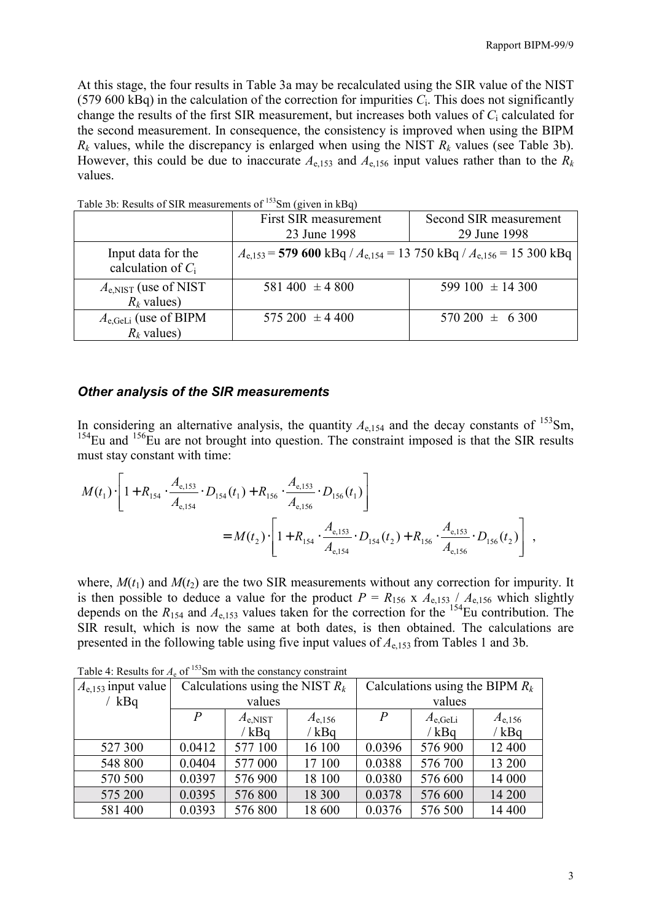At this stage, the four results in Table 3a may be recalculated using the SIR value of the NIST (579 600 kBq) in the calculation of the correction for impurities  $C_i$ . This does not significantly change the results of the first SIR measurement, but increases both values of *C*i calculated for the second measurement. In consequence, the consistency is improved when using the BIPM  $R_k$  values, while the discrepancy is enlarged when using the NIST  $R_k$  values (see Table 3b). However, this could be due to inaccurate  $A_{e,153}$  and  $A_{e,156}$  input values rather than to the  $R_k$ values.

|                                                   | First SIR measurement                                                           | Second SIR measurement |  |
|---------------------------------------------------|---------------------------------------------------------------------------------|------------------------|--|
|                                                   | 23 June 1998<br>29 June 1998                                                    |                        |  |
| Input data for the<br>calculation of $C_i$        | $A_{e,153}$ = 579 600 kBq / $A_{e,154}$ = 13 750 kBq / $A_{e,156}$ = 15 300 kBq |                        |  |
| $A_{\rm e,NIST}$ (use of NIST<br>$R_k$ values)    | 581 400 $\pm$ 4 800                                                             | 599 100 $\pm$ 14 300   |  |
| $A_{e,\text{GeLi}}$ (use of BIPM<br>$R_k$ values) | $575\,200 \pm 4\,400$                                                           | $570\,200 \pm 6\,300$  |  |

Table 3b: Results of SIR measurements of <sup>153</sup>Sm (given in kBq)

#### *Other analysis of the SIR measurements*

In considering an alternative analysis, the quantity  $A_{e,154}$  and the decay constants of <sup>153</sup>Sm,  $154$ Eu and  $156$ Eu are not brought into question. The constraint imposed is that the SIR results must stay constant with time:

$$
M(t_1) \cdot \left[1 + R_{154} \cdot \frac{A_{e,153}}{A_{e,154}} \cdot D_{154}(t_1) + R_{156} \cdot \frac{A_{e,153}}{A_{e,156}} \cdot D_{156}(t_1)\right]
$$
  
=  $M(t_2) \cdot \left[1 + R_{154} \cdot \frac{A_{e,153}}{A_{e,154}} \cdot D_{154}(t_2) + R_{156} \cdot \frac{A_{e,153}}{A_{e,156}} \cdot D_{156}(t_2)\right],$ 

where,  $M(t_1)$  and  $M(t_2)$  are the two SIR measurements without any correction for impurity. It is then possible to deduce a value for the product  $P = R_{156} \times A_{e,153} / A_{e,156}$  which slightly depends on the  $R_{154}$  and  $A_{e,153}$  values taken for the correction for the <sup>154</sup>Eu contribution. The SIR result, which is now the same at both dates, is then obtained. The calculations are presented in the following table using five input values of *A*e,153 from Tables 1 and 3b.

| $A_{e,153}$ input value | Calculations using the NIST $R_k$ |                  |             | Calculations using the BIPM $R_k$ |                  |             |
|-------------------------|-----------------------------------|------------------|-------------|-----------------------------------|------------------|-------------|
| $'$ kBq                 | values                            |                  | values      |                                   |                  |             |
|                         | $\boldsymbol{P}$                  | $A_{\rm e,NIST}$ | $A_{e,156}$ | $\overline{P}$                    | $A_{\rm e,GeLi}$ | $A_{e,156}$ |
|                         |                                   | / kBq            | /kBq        |                                   | /kBq             | /kBq        |
| 527 300                 | 0.0412                            | 577 100          | 16 100      | 0.0396                            | 576 900          | 12 400      |
| 548 800                 | 0.0404                            | 577 000          | 17 100      | 0.0388                            | 576 700          | 13 200      |
| 570 500                 | 0.0397                            | 576 900          | 18 100      | 0.0380                            | 576 600          | 14 000      |
| 575 200                 | 0.0395                            | 576 800          | 18 300      | 0.0378                            | 576 600          | 14 200      |
| 581 400                 | 0.0393                            | 576 800          | 18 600      | 0.0376                            | 576 500          | 14 400      |

Table 4: Results for  $A<sub>e</sub>$  of <sup>153</sup>Sm with the constancy constraint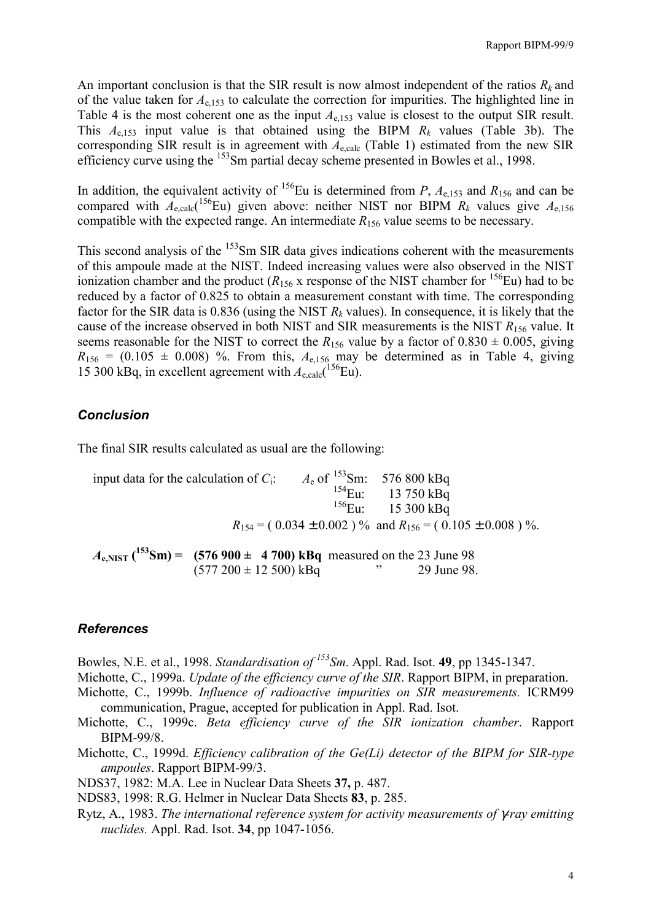An important conclusion is that the SIR result is now almost independent of the ratios  $R_k$  and of the value taken for *A*e,153 to calculate the correction for impurities. The highlighted line in Table 4 is the most coherent one as the input  $A_{e,153}$  value is closest to the output SIR result. This  $A_{e,153}$  input value is that obtained using the BIPM  $R_k$  values (Table 3b). The corresponding SIR result is in agreement with  $A_{e,calc}$  (Table 1) estimated from the new SIR efficiency curve using the <sup>153</sup>Sm partial decay scheme presented in Bowles et al., 1998.

In addition, the equivalent activity of <sup>156</sup>Eu is determined from *P*,  $A_{e,153}$  and  $R_{156}$  and can be compared with  $A_{e,calc}$ <sup>156</sup>Eu) given above: neither NIST nor BIPM  $R_k$  values give  $A_{e,156}$ compatible with the expected range. An intermediate  $R_{156}$  value seems to be necessary.

This second analysis of the <sup>153</sup>Sm SIR data gives indications coherent with the measurements of this ampoule made at the NIST. Indeed increasing values were also observed in the NIST ionization chamber and the product  $(R_{156}$  x response of the NIST chamber for <sup>156</sup>Eu) had to be reduced by a factor of 0.825 to obtain a measurement constant with time. The corresponding factor for the SIR data is  $0.836$  (using the NIST  $R_k$  values). In consequence, it is likely that the cause of the increase observed in both NIST and SIR measurements is the NIST *R*156 value. It seems reasonable for the NIST to correct the  $R_{156}$  value by a factor of  $0.830 \pm 0.005$ , giving  $R_{156}$  = (0.105  $\pm$  0.008) %. From this,  $A_{e,156}$  may be determined as in Table 4, giving 15 300 kBq, in excellent agreement with  $A_{e,calc}$ <sup>(156</sup>Eu).

## *Conclusion*

The final SIR results calculated as usual are the following:

input data for the calculation of  $C_i$ :  $A_e$  of <sup>153</sup>Sm: 576 800 kBq  $^{154}$ Eu: 13 750 kBq  $^{156}$ Eu:  $^{15}$  15 300 kBq  $R_{154} = (0.034 \pm 0.002)$  % and  $R_{156} = (0.105 \pm 0.008)$  %.

 $A_{e, NIST}$  (<sup>153</sup>Sm) = (576 900 ± 4 700) kBq measured on the 23 June 98  $(577\ 200 \pm 12\ 500)$  kBq  $\qquad \qquad$  29 June 98.

### *References*

Bowles, N.E. et al., 1998. *Standardisation of 153Sm*. Appl. Rad. Isot. **49**, pp 1345-1347.

Michotte, C., 1999a. *Update of the efficiency curve of the SIR*. Rapport BIPM, in preparation.

- Michotte, C., 1999b. *Influence of radioactive impurities on SIR measurements.* ICRM99 communication, Prague, accepted for publication in Appl. Rad. Isot.
- Michotte, C., 1999c. *Beta efficiency curve of the SIR ionization chamber*. Rapport BIPM-99/8.
- Michotte, C., 1999d. *Efficiency calibration of the Ge(Li) detector of the BIPM for SIR-type ampoules*. Rapport BIPM-99/3.
- NDS37, 1982: M.A. Lee in Nuclear Data Sheets **37,** p. 487.
- NDS83, 1998: R.G. Helmer in Nuclear Data Sheets **83**, p. 285.
- Rytz, A., 1983. *The international reference system for activity measurements of* γ*-ray emitting nuclides.* Appl. Rad. Isot. **34**, pp 1047-1056.